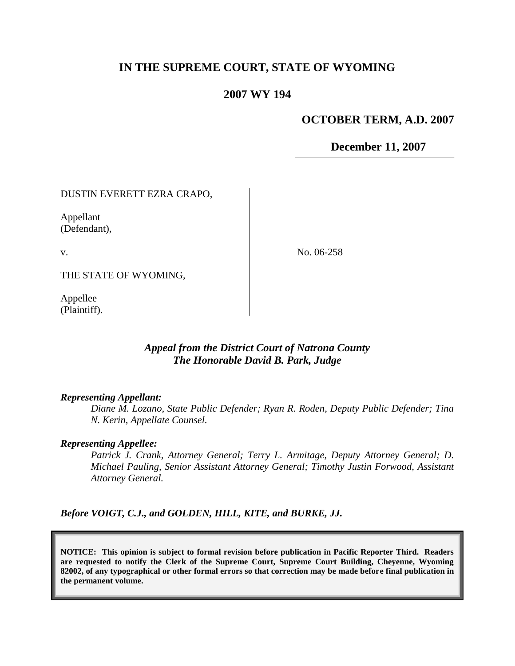# **IN THE SUPREME COURT, STATE OF WYOMING**

## **2007 WY 194**

### **OCTOBER TERM, A.D. 2007**

**December 11, 2007**

DUSTIN EVERETT EZRA CRAPO,

Appellant (Defendant),

v.

No. 06-258

THE STATE OF WYOMING,

Appellee (Plaintiff).

## *Appeal from the District Court of Natrona County The Honorable David B. Park, Judge*

#### *Representing Appellant:*

*Diane M. Lozano, State Public Defender; Ryan R. Roden, Deputy Public Defender; Tina N. Kerin, Appellate Counsel.*

#### *Representing Appellee:*

*Patrick J. Crank, Attorney General; Terry L. Armitage, Deputy Attorney General; D. Michael Pauling, Senior Assistant Attorney General; Timothy Justin Forwood, Assistant Attorney General.*

*Before VOIGT, C.J., and GOLDEN, HILL, KITE, and BURKE, JJ.*

**NOTICE: This opinion is subject to formal revision before publication in Pacific Reporter Third. Readers are requested to notify the Clerk of the Supreme Court, Supreme Court Building, Cheyenne, Wyoming 82002, of any typographical or other formal errors so that correction may be made before final publication in the permanent volume.**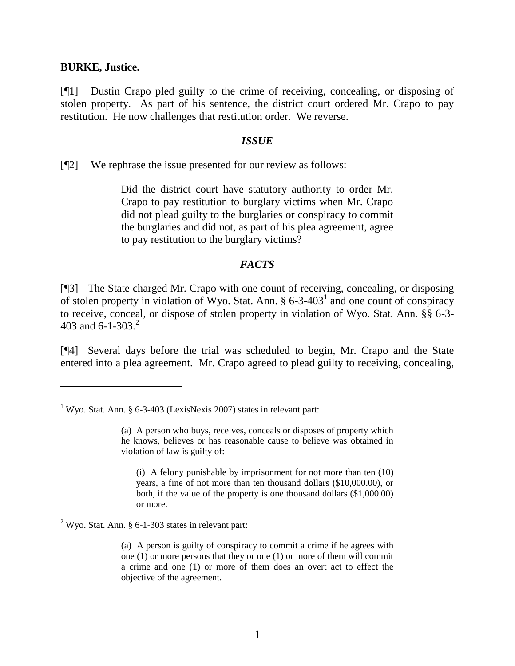### **BURKE, Justice.**

[¶1] Dustin Crapo pled guilty to the crime of receiving, concealing, or disposing of stolen property. As part of his sentence, the district court ordered Mr. Crapo to pay restitution. He now challenges that restitution order. We reverse.

### *ISSUE*

[¶2] We rephrase the issue presented for our review as follows:

Did the district court have statutory authority to order Mr. Crapo to pay restitution to burglary victims when Mr. Crapo did not plead guilty to the burglaries or conspiracy to commit the burglaries and did not, as part of his plea agreement, agree to pay restitution to the burglary victims?

## *FACTS*

[¶3] The State charged Mr. Crapo with one count of receiving, concealing, or disposing of stolen property in violation of Wyo. Stat. Ann.  $\S 6$ -3-403<sup>1</sup> and one count of conspiracy to receive, conceal, or dispose of stolen property in violation of Wyo. Stat. Ann. §§ 6-3- 403 and 6-1-303.<sup>2</sup>

[¶4] Several days before the trial was scheduled to begin, Mr. Crapo and the State entered into a plea agreement. Mr. Crapo agreed to plead guilty to receiving, concealing,

(i) A felony punishable by imprisonment for not more than ten (10) years, a fine of not more than ten thousand dollars (\$10,000.00), or both, if the value of the property is one thousand dollars (\$1,000.00) or more.

 $2$  Wyo. Stat. Ann. § 6-1-303 states in relevant part:

(a) A person is guilty of conspiracy to commit a crime if he agrees with one (1) or more persons that they or one (1) or more of them will commit a crime and one (1) or more of them does an overt act to effect the objective of the agreement.

<sup>&</sup>lt;sup>1</sup> Wyo. Stat. Ann. § 6-3-403 (LexisNexis 2007) states in relevant part:

<sup>(</sup>a) A person who buys, receives, conceals or disposes of property which he knows, believes or has reasonable cause to believe was obtained in violation of law is guilty of: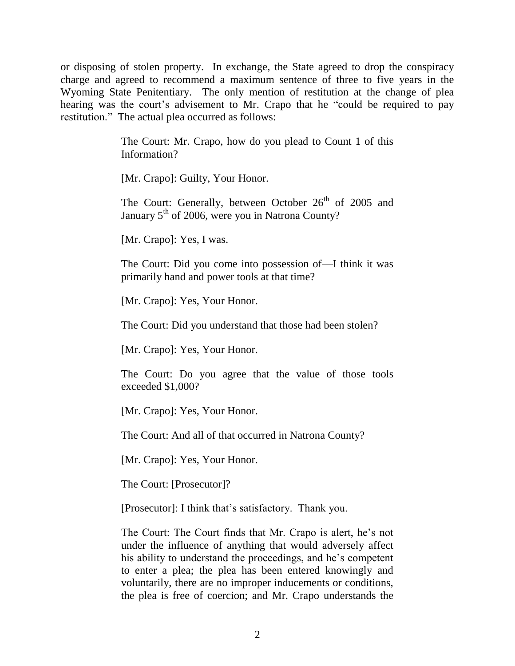or disposing of stolen property. In exchange, the State agreed to drop the conspiracy charge and agreed to recommend a maximum sentence of three to five years in the Wyoming State Penitentiary. The only mention of restitution at the change of plea hearing was the court's advisement to Mr. Crapo that he "could be required to pay restitution." The actual plea occurred as follows:

> The Court: Mr. Crapo, how do you plead to Count 1 of this Information?

[Mr. Crapo]: Guilty, Your Honor.

The Court: Generally, between October  $26<sup>th</sup>$  of 2005 and January  $5<sup>th</sup>$  of 2006, were you in Natrona County?

[Mr. Crapo]: Yes, I was.

The Court: Did you come into possession of—I think it was primarily hand and power tools at that time?

[Mr. Crapo]: Yes, Your Honor.

The Court: Did you understand that those had been stolen?

[Mr. Crapo]: Yes, Your Honor.

The Court: Do you agree that the value of those tools exceeded \$1,000?

[Mr. Crapo]: Yes, Your Honor.

The Court: And all of that occurred in Natrona County?

[Mr. Crapo]: Yes, Your Honor.

The Court: [Prosecutor]?

[Prosecutor]: I think that's satisfactory. Thank you.

The Court: The Court finds that Mr. Crapo is alert, he's not under the influence of anything that would adversely affect his ability to understand the proceedings, and he's competent to enter a plea; the plea has been entered knowingly and voluntarily, there are no improper inducements or conditions, the plea is free of coercion; and Mr. Crapo understands the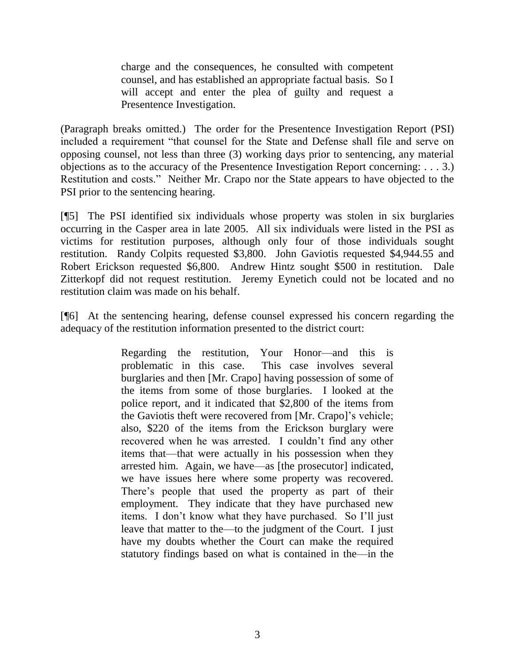charge and the consequences, he consulted with competent counsel, and has established an appropriate factual basis. So I will accept and enter the plea of guilty and request a Presentence Investigation.

(Paragraph breaks omitted.) The order for the Presentence Investigation Report (PSI) included a requirement "that counsel for the State and Defense shall file and serve on opposing counsel, not less than three (3) working days prior to sentencing, any material objections as to the accuracy of the Presentence Investigation Report concerning: . . . 3.) Restitution and costs." Neither Mr. Crapo nor the State appears to have objected to the PSI prior to the sentencing hearing.

[¶5] The PSI identified six individuals whose property was stolen in six burglaries occurring in the Casper area in late 2005. All six individuals were listed in the PSI as victims for restitution purposes, although only four of those individuals sought restitution. Randy Colpits requested \$3,800. John Gaviotis requested \$4,944.55 and Robert Erickson requested \$6,800. Andrew Hintz sought \$500 in restitution. Dale Zitterkopf did not request restitution. Jeremy Eynetich could not be located and no restitution claim was made on his behalf.

[¶6] At the sentencing hearing, defense counsel expressed his concern regarding the adequacy of the restitution information presented to the district court:

> Regarding the restitution, Your Honor—and this is problematic in this case. This case involves several burglaries and then [Mr. Crapo] having possession of some of the items from some of those burglaries. I looked at the police report, and it indicated that \$2,800 of the items from the Gaviotis theft were recovered from [Mr. Crapo]'s vehicle; also, \$220 of the items from the Erickson burglary were recovered when he was arrested. I couldn't find any other items that—that were actually in his possession when they arrested him. Again, we have—as [the prosecutor] indicated, we have issues here where some property was recovered. There's people that used the property as part of their employment. They indicate that they have purchased new items. I don't know what they have purchased. So I'll just leave that matter to the—to the judgment of the Court. I just have my doubts whether the Court can make the required statutory findings based on what is contained in the—in the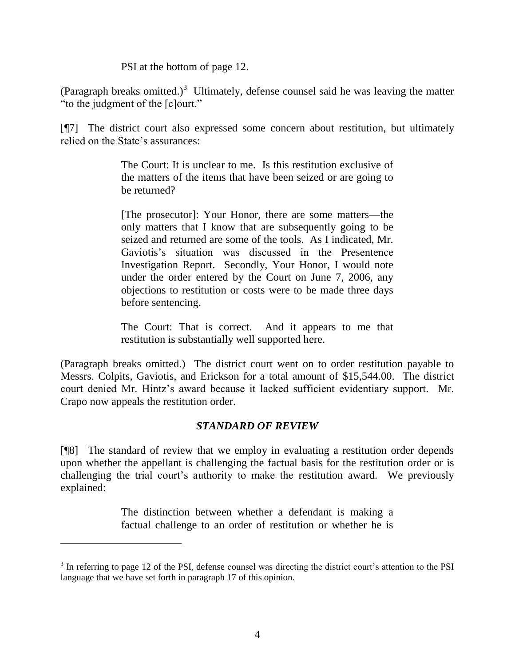PSI at the bottom of page 12.

(Paragraph breaks omitted.)<sup>3</sup> Ultimately, defense counsel said he was leaving the matter "to the judgment of the [c]ourt."

[¶7] The district court also expressed some concern about restitution, but ultimately relied on the State's assurances:

> The Court: It is unclear to me. Is this restitution exclusive of the matters of the items that have been seized or are going to be returned?

> [The prosecutor]: Your Honor, there are some matters—the only matters that I know that are subsequently going to be seized and returned are some of the tools. As I indicated, Mr. Gaviotis's situation was discussed in the Presentence Investigation Report. Secondly, Your Honor, I would note under the order entered by the Court on June 7, 2006, any objections to restitution or costs were to be made three days before sentencing.

> The Court: That is correct. And it appears to me that restitution is substantially well supported here.

(Paragraph breaks omitted.) The district court went on to order restitution payable to Messrs. Colpits, Gaviotis, and Erickson for a total amount of \$15,544.00. The district court denied Mr. Hintz's award because it lacked sufficient evidentiary support. Mr. Crapo now appeals the restitution order.

# *STANDARD OF REVIEW*

[¶8] The standard of review that we employ in evaluating a restitution order depends upon whether the appellant is challenging the factual basis for the restitution order or is challenging the trial court's authority to make the restitution award. We previously explained:

> The distinction between whether a defendant is making a factual challenge to an order of restitution or whether he is

<sup>&</sup>lt;sup>3</sup> In referring to page 12 of the PSI, defense counsel was directing the district court's attention to the PSI language that we have set forth in paragraph 17 of this opinion.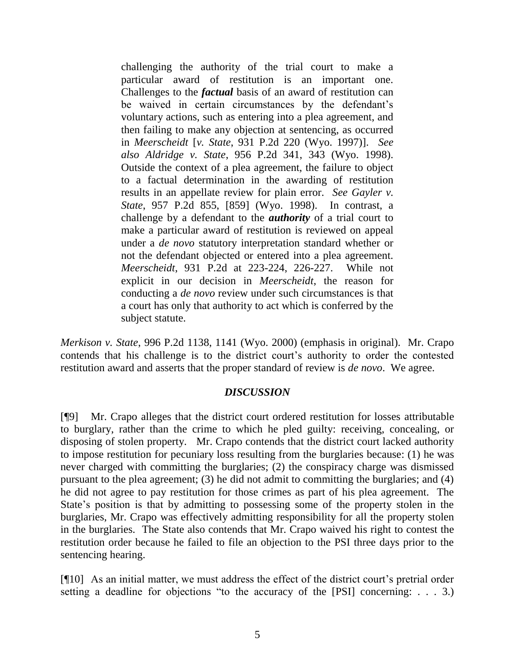challenging the authority of the trial court to make a particular award of restitution is an important one. Challenges to the *factual* basis of an award of restitution can be waived in certain circumstances by the defendant's voluntary actions, such as entering into a plea agreement, and then failing to make any objection at sentencing, as occurred in *Meerscheidt* [*v. State*, 931 P.2d 220 (Wyo. 1997)]. *See also Aldridge v. State*, 956 P.2d 341, 343 (Wyo. 1998). Outside the context of a plea agreement, the failure to object to a factual determination in the awarding of restitution results in an appellate review for plain error. *See Gayler v. State*, 957 P.2d 855, [859] (Wyo. 1998). In contrast, a challenge by a defendant to the *authority* of a trial court to make a particular award of restitution is reviewed on appeal under a *de novo* statutory interpretation standard whether or not the defendant objected or entered into a plea agreement. *Meerscheidt*, 931 P.2d at 223-224, 226-227. While not explicit in our decision in *Meerscheidt*, the reason for conducting a *de novo* review under such circumstances is that a court has only that authority to act which is conferred by the subject statute.

*Merkison v. State*, 996 P.2d 1138, 1141 (Wyo. 2000) (emphasis in original). Mr. Crapo contends that his challenge is to the district court's authority to order the contested restitution award and asserts that the proper standard of review is *de novo*. We agree.

### *DISCUSSION*

[¶9] Mr. Crapo alleges that the district court ordered restitution for losses attributable to burglary, rather than the crime to which he pled guilty: receiving, concealing, or disposing of stolen property. Mr. Crapo contends that the district court lacked authority to impose restitution for pecuniary loss resulting from the burglaries because: (1) he was never charged with committing the burglaries; (2) the conspiracy charge was dismissed pursuant to the plea agreement; (3) he did not admit to committing the burglaries; and (4) he did not agree to pay restitution for those crimes as part of his plea agreement. The State's position is that by admitting to possessing some of the property stolen in the burglaries, Mr. Crapo was effectively admitting responsibility for all the property stolen in the burglaries. The State also contends that Mr. Crapo waived his right to contest the restitution order because he failed to file an objection to the PSI three days prior to the sentencing hearing.

[¶10] As an initial matter, we must address the effect of the district court's pretrial order setting a deadline for objections "to the accuracy of the [PSI] concerning: . . . 3.)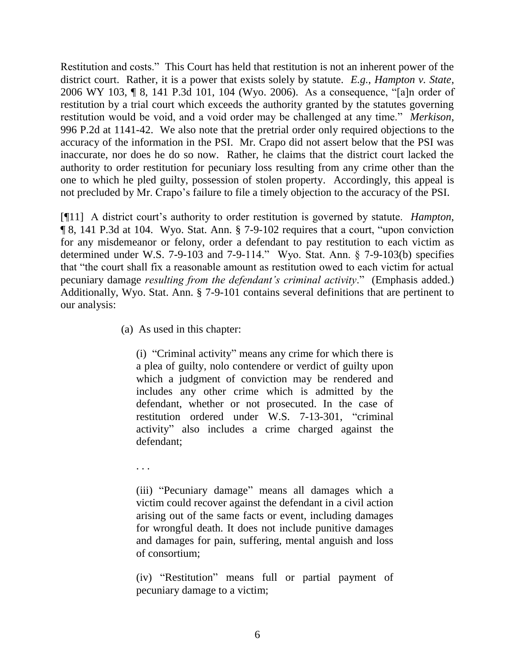Restitution and costs." This Court has held that restitution is not an inherent power of the district court. Rather, it is a power that exists solely by statute. *E.g.*, *Hampton v. State*, 2006 WY 103, ¶ 8, 141 P.3d 101, 104 (Wyo. 2006). As a consequence, "[a]n order of restitution by a trial court which exceeds the authority granted by the statutes governing restitution would be void, and a void order may be challenged at any time." *Merkison*, 996 P.2d at 1141-42. We also note that the pretrial order only required objections to the accuracy of the information in the PSI. Mr. Crapo did not assert below that the PSI was inaccurate, nor does he do so now. Rather, he claims that the district court lacked the authority to order restitution for pecuniary loss resulting from any crime other than the one to which he pled guilty, possession of stolen property. Accordingly, this appeal is not precluded by Mr. Crapo's failure to file a timely objection to the accuracy of the PSI.

[¶11] A district court's authority to order restitution is governed by statute. *Hampton*, ¶ 8, 141 P.3d at 104. Wyo. Stat. Ann. § 7-9-102 requires that a court, "upon conviction for any misdemeanor or felony, order a defendant to pay restitution to each victim as determined under W.S. 7-9-103 and 7-9-114." Wyo. Stat. Ann. § 7-9-103(b) specifies that "the court shall fix a reasonable amount as restitution owed to each victim for actual pecuniary damage *resulting from the defendant's criminal activity*." (Emphasis added.) Additionally, Wyo. Stat. Ann. § 7-9-101 contains several definitions that are pertinent to our analysis:

(a) As used in this chapter:

(i) "Criminal activity" means any crime for which there is a plea of guilty, nolo contendere or verdict of guilty upon which a judgment of conviction may be rendered and includes any other crime which is admitted by the defendant, whether or not prosecuted. In the case of restitution ordered under W.S. 7-13-301, "criminal activity" also includes a crime charged against the defendant;

. . .

(iii) "Pecuniary damage" means all damages which a victim could recover against the defendant in a civil action arising out of the same facts or event, including damages for wrongful death. It does not include punitive damages and damages for pain, suffering, mental anguish and loss of consortium;

(iv) "Restitution" means full or partial payment of pecuniary damage to a victim;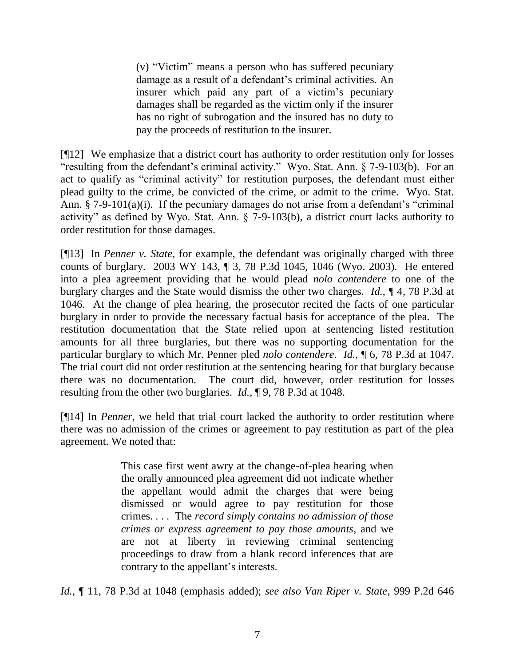(v) "Victim" means a person who has suffered pecuniary damage as a result of a defendant's criminal activities. An insurer which paid any part of a victim's pecuniary damages shall be regarded as the victim only if the insurer has no right of subrogation and the insured has no duty to pay the proceeds of restitution to the insurer.

[¶12] We emphasize that a district court has authority to order restitution only for losses "resulting from the defendant's criminal activity." Wyo. Stat. Ann. § 7-9-103(b). For an act to qualify as "criminal activity" for restitution purposes, the defendant must either plead guilty to the crime, be convicted of the crime, or admit to the crime. Wyo. Stat. Ann. § 7-9-101(a)(i). If the pecuniary damages do not arise from a defendant's "criminal activity" as defined by Wyo. Stat. Ann. § 7-9-103(b), a district court lacks authority to order restitution for those damages.

[¶13] In *Penner v. State*, for example, the defendant was originally charged with three counts of burglary. 2003 WY 143, ¶ 3, 78 P.3d 1045, 1046 (Wyo. 2003). He entered into a plea agreement providing that he would plead *nolo contendere* to one of the burglary charges and the State would dismiss the other two charges. *Id.*, ¶ 4, 78 P.3d at 1046. At the change of plea hearing, the prosecutor recited the facts of one particular burglary in order to provide the necessary factual basis for acceptance of the plea. The restitution documentation that the State relied upon at sentencing listed restitution amounts for all three burglaries, but there was no supporting documentation for the particular burglary to which Mr. Penner pled *nolo contendere*. *Id.*, ¶ 6, 78 P.3d at 1047. The trial court did not order restitution at the sentencing hearing for that burglary because there was no documentation. The court did, however, order restitution for losses resulting from the other two burglaries. *Id.*, ¶ 9, 78 P.3d at 1048.

[¶14] In *Penner*, we held that trial court lacked the authority to order restitution where there was no admission of the crimes or agreement to pay restitution as part of the plea agreement. We noted that:

> This case first went awry at the change-of-plea hearing when the orally announced plea agreement did not indicate whether the appellant would admit the charges that were being dismissed or would agree to pay restitution for those crimes. . . . The *record simply contains no admission of those crimes or express agreement to pay those amounts*, and we are not at liberty in reviewing criminal sentencing proceedings to draw from a blank record inferences that are contrary to the appellant's interests.

*Id.*, ¶ 11, 78 P.3d at 1048 (emphasis added); *see also Van Riper v. State*, 999 P.2d 646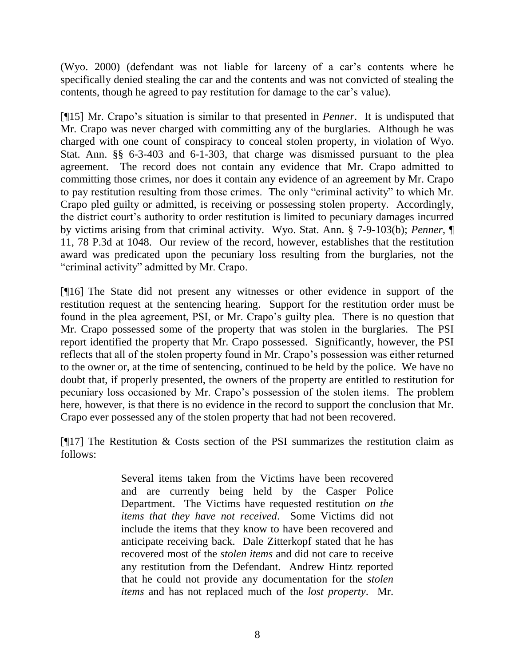(Wyo. 2000) (defendant was not liable for larceny of a car's contents where he specifically denied stealing the car and the contents and was not convicted of stealing the contents, though he agreed to pay restitution for damage to the car's value).

[¶15] Mr. Crapo's situation is similar to that presented in *Penner*. It is undisputed that Mr. Crapo was never charged with committing any of the burglaries. Although he was charged with one count of conspiracy to conceal stolen property, in violation of Wyo. Stat. Ann. §§ 6-3-403 and 6-1-303, that charge was dismissed pursuant to the plea agreement. The record does not contain any evidence that Mr. Crapo admitted to committing those crimes, nor does it contain any evidence of an agreement by Mr. Crapo to pay restitution resulting from those crimes. The only "criminal activity" to which Mr. Crapo pled guilty or admitted, is receiving or possessing stolen property. Accordingly, the district court's authority to order restitution is limited to pecuniary damages incurred by victims arising from that criminal activity. Wyo. Stat. Ann. § 7-9-103(b); *Penner*, ¶ 11, 78 P.3d at 1048. Our review of the record, however, establishes that the restitution award was predicated upon the pecuniary loss resulting from the burglaries, not the "criminal activity" admitted by Mr. Crapo.

[¶16] The State did not present any witnesses or other evidence in support of the restitution request at the sentencing hearing. Support for the restitution order must be found in the plea agreement, PSI, or Mr. Crapo's guilty plea. There is no question that Mr. Crapo possessed some of the property that was stolen in the burglaries. The PSI report identified the property that Mr. Crapo possessed. Significantly, however, the PSI reflects that all of the stolen property found in Mr. Crapo's possession was either returned to the owner or, at the time of sentencing, continued to be held by the police. We have no doubt that, if properly presented, the owners of the property are entitled to restitution for pecuniary loss occasioned by Mr. Crapo's possession of the stolen items. The problem here, however, is that there is no evidence in the record to support the conclusion that Mr. Crapo ever possessed any of the stolen property that had not been recovered.

[ $[17]$ ] The Restitution & Costs section of the PSI summarizes the restitution claim as follows:

> Several items taken from the Victims have been recovered and are currently being held by the Casper Police Department. The Victims have requested restitution *on the items that they have not received*. Some Victims did not include the items that they know to have been recovered and anticipate receiving back. Dale Zitterkopf stated that he has recovered most of the *stolen items* and did not care to receive any restitution from the Defendant. Andrew Hintz reported that he could not provide any documentation for the *stolen items* and has not replaced much of the *lost property*. Mr.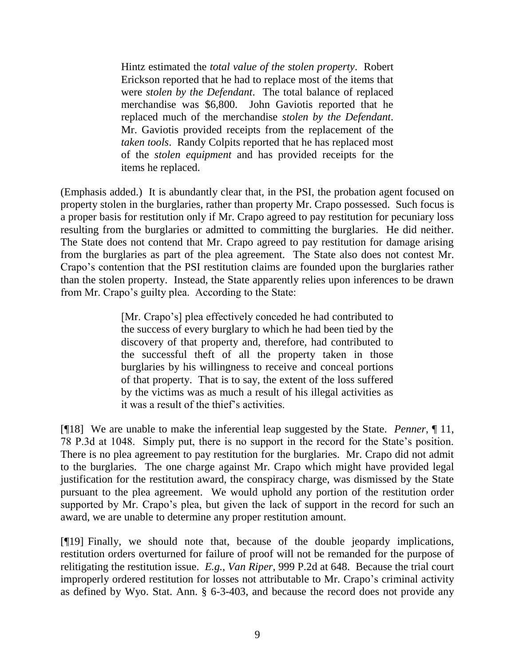Hintz estimated the *total value of the stolen property*. Robert Erickson reported that he had to replace most of the items that were *stolen by the Defendant*. The total balance of replaced merchandise was \$6,800. John Gaviotis reported that he replaced much of the merchandise *stolen by the Defendant*. Mr. Gaviotis provided receipts from the replacement of the *taken tools*. Randy Colpits reported that he has replaced most of the *stolen equipment* and has provided receipts for the items he replaced.

(Emphasis added.) It is abundantly clear that, in the PSI, the probation agent focused on property stolen in the burglaries, rather than property Mr. Crapo possessed. Such focus is a proper basis for restitution only if Mr. Crapo agreed to pay restitution for pecuniary loss resulting from the burglaries or admitted to committing the burglaries. He did neither. The State does not contend that Mr. Crapo agreed to pay restitution for damage arising from the burglaries as part of the plea agreement. The State also does not contest Mr. Crapo's contention that the PSI restitution claims are founded upon the burglaries rather than the stolen property. Instead, the State apparently relies upon inferences to be drawn from Mr. Crapo's guilty plea. According to the State:

> [Mr. Crapo's] plea effectively conceded he had contributed to the success of every burglary to which he had been tied by the discovery of that property and, therefore, had contributed to the successful theft of all the property taken in those burglaries by his willingness to receive and conceal portions of that property. That is to say, the extent of the loss suffered by the victims was as much a result of his illegal activities as it was a result of the thief's activities.

[¶18] We are unable to make the inferential leap suggested by the State. *Penner*, ¶ 11, 78 P.3d at 1048. Simply put, there is no support in the record for the State's position. There is no plea agreement to pay restitution for the burglaries. Mr. Crapo did not admit to the burglaries. The one charge against Mr. Crapo which might have provided legal justification for the restitution award, the conspiracy charge, was dismissed by the State pursuant to the plea agreement. We would uphold any portion of the restitution order supported by Mr. Crapo's plea, but given the lack of support in the record for such an award, we are unable to determine any proper restitution amount.

[¶19] Finally, we should note that, because of the double jeopardy implications, restitution orders overturned for failure of proof will not be remanded for the purpose of relitigating the restitution issue. *E.g.*, *Van Riper*, 999 P.2d at 648. Because the trial court improperly ordered restitution for losses not attributable to Mr. Crapo's criminal activity as defined by Wyo. Stat. Ann. § 6-3-403, and because the record does not provide any